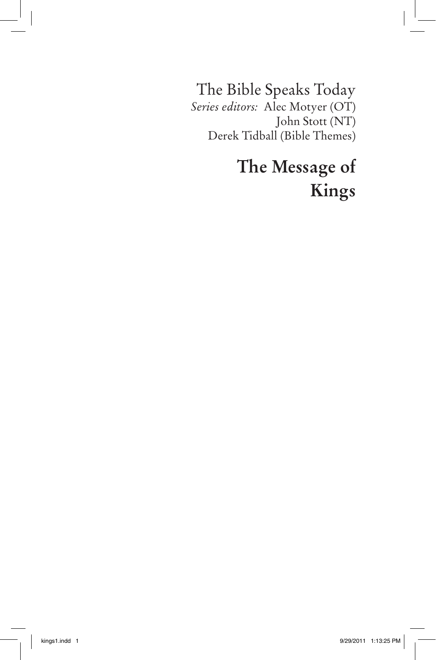# The Bible Speaks Today

*Series editors:* Alec Motyer (OT) John Stott (NT) Derek Tidball (Bible Themes)

# **The Message of Kings**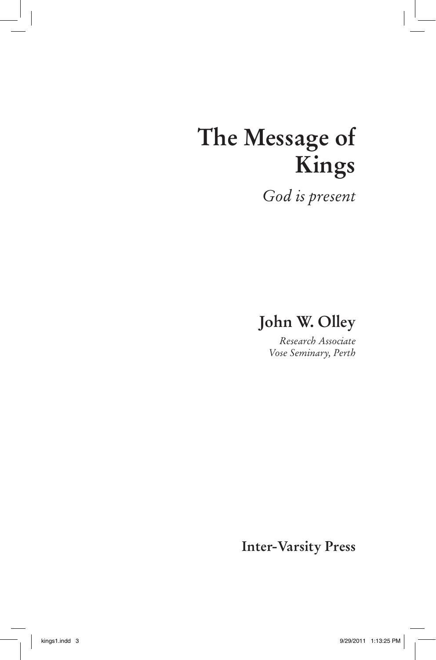# **The Message of Kings**

*God is present*

# **John W. Olley**

*Research Associate Vose Seminary, Perth*

**Inter-Varsity Press**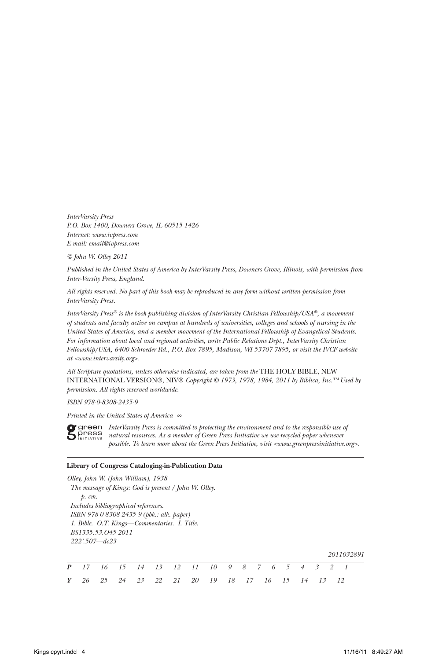*InterVarsity Press P.O. Box 1400, Downers Grove, IL 60515-1426 Internet: www.ivpress.com E-mail: email@ivpress.com*

*© John W. Olley 2011*

*Published in the United States of America by InterVarsity Press, Downers Grove, Illinois, with permission from Inter-Varsity Press, England.*

*All rights reserved. No part of this book may be reproduced in any form without written permission from InterVarsity Press.*

*InterVarsity Press® is the book-publishing division of InterVarsity Christian Fellowship/USA®, a movement of students and faculty active on campus at hundreds of universities, colleges and schools of nursing in the United States of America, and a member movement of the International Fellowship of Evangelical Students. For information about local and regional activities, write Public Relations Dept., InterVarsity Christian Fellowship/USA, 6400 Schroeder Rd., P.O. Box 7895, Madison, WI 53707-7895, or visit the IVCF website at <www.intervarsity.org>.*

*All Scripture quotations, unless otherwise indicated, are taken from the* THE HOLY BIBLE, NEW INTERNATIONAL VERSION®, NIV® *Copyright © 1973, 1978, 1984, 2011 by Biblica, Inc.™ Used by permission. All rights reserved worldwide.*

*ISBN 978-0-8308-2435-9*

*Printed in the United States of America ∞*

*InterVarsity Press is committed to protecting the environment and to the responsible use of*   $\sum_{\text{NITATIVE}}$ *natural resources. As a member of Green Press Initiative we use recycled paper whenever possible. To learn more about the Green Press Initiative, visit <www.greenpressinitiative.org>.*

#### **Library of Congress Cataloging-in-Publication Data**

*Olley, John W. (John William), 1938- The message of Kings: God is present / John W. Olley. p. cm. Includes bibliographical references. ISBN 978-0-8308-2435-9 (pbk.: alk. paper) 1. Bible. O.T. Kings—Commentaries. I. Title. BS1335.53.O45 2011 222'.507—dc23*

*2011032891*

|  |  |  |  |  | <b>P</b> 17 16 15 14 13 12 11 10 9 8 7 6 5 4 3 2 1 |  |  |  |
|--|--|--|--|--|----------------------------------------------------|--|--|--|
|  |  |  |  |  | Y 26 25 24 23 22 21 20 19 18 17 16 15 14 13 12     |  |  |  |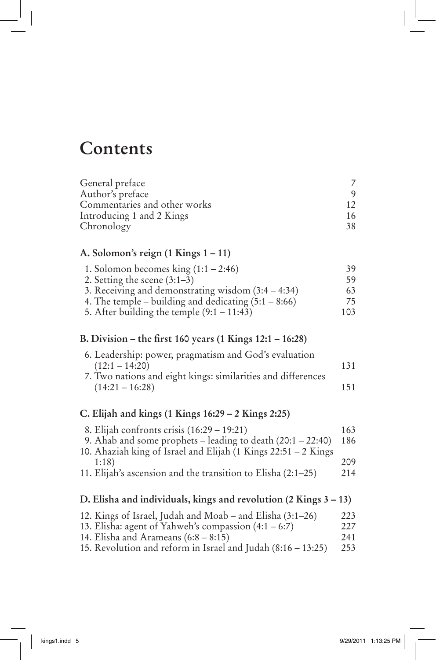# **Contents**

| General preface              |    |
|------------------------------|----|
| Author's preface             |    |
| Commentaries and other works |    |
| Introducing 1 and 2 Kings    | 16 |
| Chronology                   | 38 |

# **A. Solomon's reign (1 Kings 1 – 11)**

| 1. Solomon becomes king $(1:1 – 2:46)$                 | 39  |
|--------------------------------------------------------|-----|
| 2. Setting the scene $(3:1-3)$                         | 59. |
| 3. Receiving and demonstrating wisdom $(3:4 - 4:34)$   | 63  |
| 4. The temple – building and dedicating $(5:1 - 8:66)$ | 75. |
| 5. After building the temple $(9:1 - 11:43)$           | 103 |

# **B. Division – the first 160 years (1 Kings 12:1 – 16:28)**

| 6. Leadership: power, pragmatism and God's evaluation        |     |
|--------------------------------------------------------------|-----|
| $(12:1 - 14:20)$                                             | 131 |
| 7. Two nations and eight kings: similarities and differences |     |
| $(14:21 - 16:28)$                                            | 151 |

# **C. Elijah and kings (1 Kings 16:29 – 2 Kings 2:25)**

| 8. Elijah confronts crisis (16:29 – 19:21)                     | 163 |
|----------------------------------------------------------------|-----|
| 9. Ahab and some prophets – leading to death $(20:1 - 22:40)$  | 186 |
| 10. Ahaziah king of Israel and Elijah (1 Kings 22:51 – 2 Kings |     |
| 1:18                                                           | 209 |
| 11. Elijah's ascension and the transition to Elisha (2:1–25)   | 214 |
|                                                                |     |

# **D. Elisha and individuals, kings and revolution (2 Kings 3 – 13)**

| 12. Kings of Israel, Judah and Moab – and Elisha (3:1–26) | 223 |
|-----------------------------------------------------------|-----|
| 13. Elisha: agent of Yahweh's compassion $(4:1 - 6:7)$    | 227 |
| 14. Elisha and Arameans $(6.8 - 8.15)$                    | 241 |

15. Revolution and reform in Israel and Judah (8:16 – 13:25) 253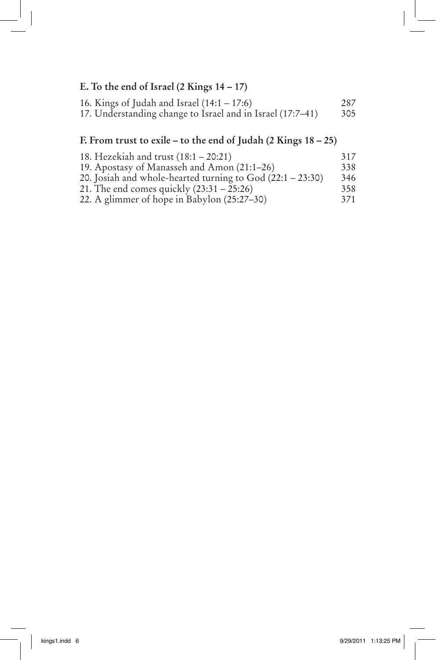# **E. To the end of Israel (2 Kings 14 – 17)**

| 16. Kings of Judah and Israel $(14:1 - 17:6)$              | 287 |
|------------------------------------------------------------|-----|
| 17. Understanding change to Israel and in Israel (17:7–41) | 305 |

# **F. From trust to exile – to the end of Judah (2 Kings 18 – 25)**

| 18. Hezekiah and trust (18:1 - 20:21)                        | 317 |
|--------------------------------------------------------------|-----|
| 19. Apostasy of Manasseh and Amon (21:1–26)                  | 338 |
| 20. Josiah and whole-hearted turning to God $(22.1 – 23.30)$ | 346 |
| 21. The end comes quickly $(23:31 - 25:26)$                  | 358 |
| 22. A glimmer of hope in Babylon (25:27-30)                  | 371 |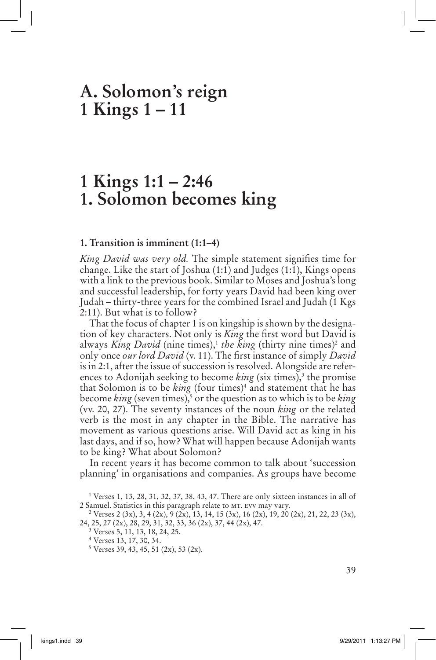# **A. Solomon's reign 1 Kings 1 – 11**

# **1 Kings 1:1 – 2:46 1. Solomon becomes king**

# **1. Transition is imminent (1:1–4)**

*King David was very old.* The simple statement signifies time for change. Like the start of Joshua (1:1) and Judges (1:1), Kings opens with a link to the previous book. Similar to Moses and Joshua's long and successful leadership, for forty years David had been king over Judah – thirty-three years for the combined Israel and Judah (1 Kgs 2:11). But what is to follow?

That the focus of chapter 1 is on kingship is shown by the designation of key characters. Not only is *King* the first word but David is always *King David* (nine times),<sup>1</sup> the king (thirty nine times)<sup>2</sup> and only once *our lord David* (v. 11). The first instance of simply *David*  is in 2:1, after the issue of succession is resolved. Alongside are references to Adonijah seeking to become *king* (six times),<sup>3</sup> the promise that Solomon is to be *king* (four times)<sup>4</sup> and statement that he has become *king* (seven times),5 or the question as to which is to be *king* (vv. 20, 27). The seventy instances of the noun *king* or the related verb is the most in any chapter in the Bible. The narrative has movement as various questions arise. Will David act as king in his last days, and if so, how? What will happen because Adonijah wants to be king? What about Solomon?

In recent years it has become common to talk about 'succession planning' in organisations and companies. As groups have become

<sup>5</sup> Verses 39, 43, 45, 51 (2x), 53 (2x).

<sup>1</sup> Verses 1, 13, 28, 31, 32, 37, 38, 43, 47. There are only sixteen instances in all of 2 Samuel. Statistics in this paragraph relate to MT. EVV may vary.

<sup>&</sup>lt;sup>2</sup> Verses 2 (3x), 3, 4 (2x), 9 (2x), 13, 14, 15 (3x), 16 (2x), 19, 20 (2x), 21, 22, 23 (3x), 24, 25, 27 (2x), 28, 29, 31, 32, 33, 36 (2x), 37, 44 (2x), 47.

<sup>&</sup>lt;sup>3</sup> Verses 5, 11, 13, 18, 24, 25.

<sup>4</sup> Verses 13, 17, 30, 34.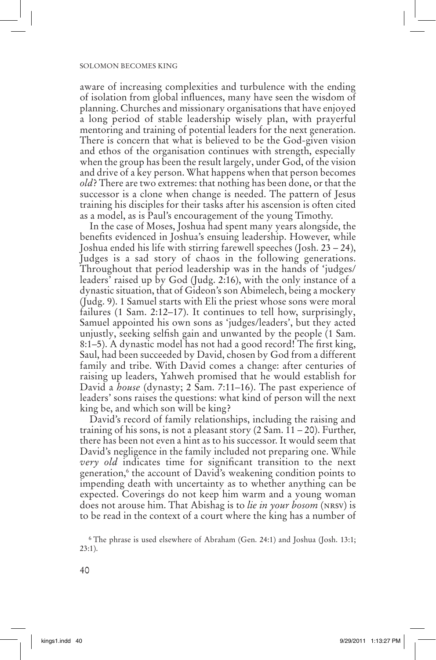aware of increasing complexities and turbulence with the ending of isolation from global influences, many have seen the wisdom of planning. Churches and missionary organisations that have enjoyed a long period of stable leadership wisely plan, with prayerful mentoring and training of potential leaders for the next generation. There is concern that what is believed to be the God-given vision and ethos of the organisation continues with strength, especially when the group has been the result largely, under God, of the vision and drive of a key person. What happens when that person becomes *old*? There are two extremes: that nothing has been done, or that the successor is a clone when change is needed. The pattern of Jesus training his disciples for their tasks after his ascension is often cited as a model, as is Paul's encouragement of the young Timothy.

In the case of Moses, Joshua had spent many years alongside, the benefits evidenced in Joshua's ensuing leadership. However, while Joshua ended his life with stirring farewell speeches (Josh. 23 – 24), Judges is a sad story of chaos in the following generations. Throughout that period leadership was in the hands of 'judges/ leaders' raised up by God (Judg. 2:16), with the only instance of a dynastic situation, that of Gideon's son Abimelech, being a mockery (Judg. 9). 1 Samuel starts with Eli the priest whose sons were moral failures (1 Sam. 2:12–17). It continues to tell how, surprisingly, Samuel appointed his own sons as 'judges/leaders', but they acted unjustly, seeking selfish gain and unwanted by the people (1 Sam. 8:1–5). A dynastic model has not had a good record! The first king, Saul, had been succeeded by David, chosen by God from a different family and tribe. With David comes a change: after centuries of raising up leaders, Yahweh promised that he would establish for David a *house* (dynasty; 2 Sam. 7:11–16). The past experience of leaders' sons raises the questions: what kind of person will the next king be, and which son will be king?

David's record of family relationships, including the raising and training of his sons, is not a pleasant story  $(2 \text{ Sam. } 11 - 20)$ . Further, there has been not even a hint as to his successor. It would seem that David's negligence in the family included not preparing one. While *very old* indicates time for significant transition to the next generation,<sup>6</sup> the account of David's weakening condition points to impending death with uncertainty as to whether anything can be expected. Coverings do not keep him warm and a young woman does not arouse him. That Abishag is to *lie in your bosom* (nrsv) is to be read in the context of a court where the king has a number of

40

<sup>6</sup> The phrase is used elsewhere of Abraham (Gen. 24:1) and Joshua (Josh. 13:1; 23:1).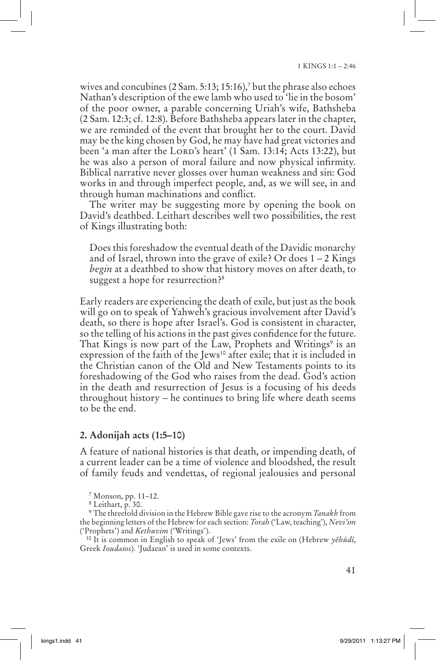wives and concubines (2 Sam. 5:13; 15:16),<sup>7</sup> but the phrase also echoes Nathan's description of the ewe lamb who used to 'lie in the bosom' of the poor owner, a parable concerning Uriah's wife, Bathsheba (2 Sam. 12:3; cf. 12:8). Before Bathsheba appears later in the chapter, we are reminded of the event that brought her to the court. David may be the king chosen by God, he may have had great victories and been 'a man after the LORD's heart' (1 Sam. 13:14; Acts 13:22), but he was also a person of moral failure and now physical infirmity. Biblical narrative never glosses over human weakness and sin: God works in and through imperfect people, and, as we will see, in and through human machinations and conflict.

The writer may be suggesting more by opening the book on David's deathbed. Leithart describes well two possibilities, the rest of Kings illustrating both:

Does this foreshadow the eventual death of the Davidic monarchy and of Israel, thrown into the grave of exile? Or does  $1 - 2$  Kings *begin* at a deathbed to show that history moves on after death, to suggest a hope for resurrection?8

Early readers are experiencing the death of exile, but just as the book will go on to speak of Yahweh's gracious involvement after David's death, so there is hope after Israel's. God is consistent in character, so the telling of his actions in the past gives confidence for the future. That Kings is now part of the Law, Prophets and Writings<sup>9</sup> is an expression of the faith of the Jews<sup>10</sup> after exile; that it is included in the Christian canon of the Old and New Testaments points to its foreshadowing of the God who raises from the dead. God's action in the death and resurrection of Jesus is a focusing of his deeds throughout history – he continues to bring life where death seems to be the end.

## **2. Adonijah acts (1:5–10)**

A feature of national histories is that death, or impending death, of a current leader can be a time of violence and bloodshed, the result of family feuds and vendettas, of regional jealousies and personal

<sup>7</sup> Monson, pp. 11–12.

<sup>8</sup> Leithart, p. 30.

<sup>9</sup> The threefold division in the Hebrew Bible gave rise to the acronym *Tanakh* from the beginning letters of the Hebrew for each section: *Torah* ('Law, teaching'), *Nevi'im* ('Prophets') and *Kethuvim* ('Writings').

<sup>10</sup> It is common in English to speak of 'Jews' from the exile on (Hebrew *yĕhûdî*, Greek *Ioudaios*). 'Judaean' is used in some contexts.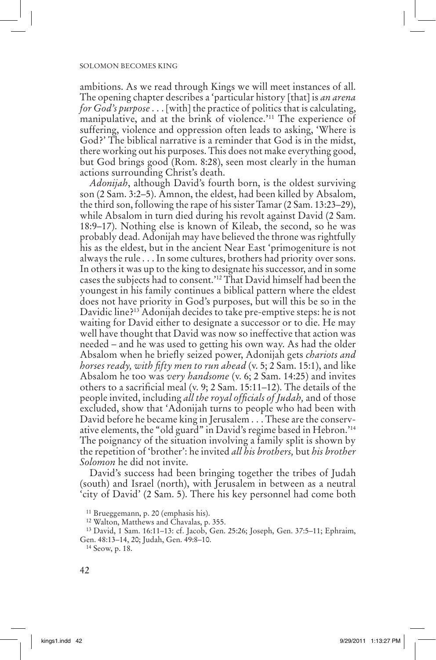ambitions. As we read through Kings we will meet instances of all. The opening chapter describes a 'particular history [that] is *an arena for God's purpose* . . . [with] the practice of politics that is calculating, manipulative, and at the brink of violence.<sup>'11</sup> The experience of suffering, violence and oppression often leads to asking, 'Where is God?' The biblical narrative is a reminder that God is in the midst, there working out his purposes. This does not make everything good, but God brings good (Rom. 8:28), seen most clearly in the human actions surrounding Christ's death.

*Adonijah*, although David's fourth born, is the oldest surviving son (2 Sam. 3:2–5). Amnon, the eldest, had been killed by Absalom, the third son, following the rape of his sister Tamar (2 Sam. 13:23–29), while Absalom in turn died during his revolt against David (2 Sam. 18:9–17). Nothing else is known of Kileab, the second, so he was probably dead. Adonijah may have believed the throne was rightfully his as the eldest, but in the ancient Near East 'primogeniture is not always the rule . . . In some cultures, brothers had priority over sons. In others it was up to the king to designate his successor, and in some cases the subjects had to consent.'12 That David himself had been the youngest in his family continues a biblical pattern where the eldest does not have priority in God's purposes, but will this be so in the Davidic line?13 Adonijah decides to take pre-emptive steps: he is not waiting for David either to designate a successor or to die. He may well have thought that David was now so ineffective that action was needed – and he was used to getting his own way. As had the older Absalom when he briefly seized power, Adonijah gets *chariots and horses ready, with fifty men to run ahead* (v. 5; 2 Sam. 15:1), and like Absalom he too was *very handsome* (v. 6; 2 Sam. 14:25) and invites others to a sacrificial meal (v. 9; 2 Sam. 15:11–12). The details of the people invited, including *all the royal officials of Judah,* and of those excluded, show that 'Adonijah turns to people who had been with David before he became king in Jerusalem . . . These are the conservative elements, the "old guard" in David's regime based in Hebron.'14 The poignancy of the situation involving a family split is shown by the repetition of 'brother': he invited *all his brothers,* but *his brother Solomon* he did not invite.

David's success had been bringing together the tribes of Judah (south) and Israel (north), with Jerusalem in between as a neutral 'city of David' (2 Sam. 5). There his key personnel had come both

<sup>11</sup> Brueggemann, p. 20 (emphasis his).

<sup>12</sup> Walton, Matthews and Chavalas, p. 355.

<sup>13</sup> David, 1 Sam. 16:11–13: cf. Jacob, Gen. 25:26; Joseph, Gen. 37:5–11; Ephraim, Gen. 48:13–14, 20; Judah, Gen. 49:8–10.

<sup>14</sup> Seow, p. 18.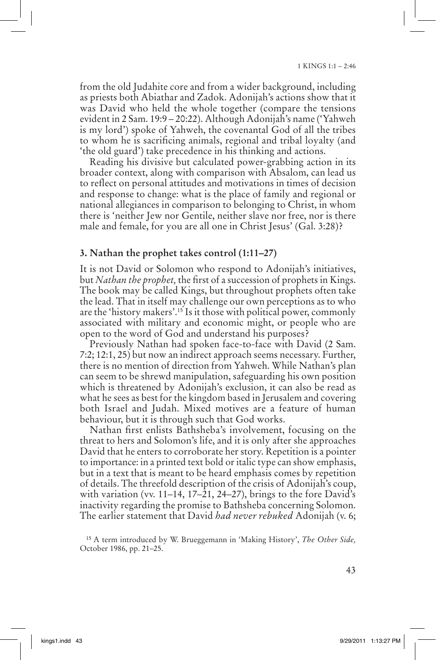from the old Judahite core and from a wider background, including as priests both Abiathar and Zadok. Adonijah's actions show that it was David who held the whole together (compare the tensions evident in 2 Sam. 19:9 – 20:22). Although Adonijah's name ('Yahweh is my lord') spoke of Yahweh, the covenantal God of all the tribes to whom he is sacrificing animals, regional and tribal loyalty (and 'the old guard') take precedence in his thinking and actions.

Reading his divisive but calculated power-grabbing action in its broader context, along with comparison with Absalom, can lead us to reflect on personal attitudes and motivations in times of decision and response to change: what is the place of family and regional or national allegiances in comparison to belonging to Christ, in whom there is 'neither Jew nor Gentile, neither slave nor free, nor is there male and female, for you are all one in Christ Jesus' (Gal. 3:28)?

# **3. Nathan the prophet takes control (1:11–27)**

It is not David or Solomon who respond to Adonijah's initiatives, but *Nathan the prophet,* the first of a succession of prophets in Kings. The book may be called Kings, but throughout prophets often take the lead. That in itself may challenge our own perceptions as to who are the 'history makers'.15 Is it those with political power, commonly associated with military and economic might, or people who are open to the word of God and understand his purposes?

Previously Nathan had spoken face-to-face with David (2 Sam. 7:2; 12:1, 25) but now an indirect approach seems necessary. Further, there is no mention of direction from Yahweh. While Nathan's plan can seem to be shrewd manipulation, safeguarding his own position which is threatened by Adonijah's exclusion, it can also be read as what he sees as best for the kingdom based in Jerusalem and covering both Israel and Judah. Mixed motives are a feature of human behaviour, but it is through such that God works.

Nathan first enlists Bathsheba's involvement, focusing on the threat to hers and Solomon's life, and it is only after she approaches David that he enters to corroborate her story. Repetition is a pointer to importance: in a printed text bold or italic type can show emphasis, but in a text that is meant to be heard emphasis comes by repetition of details. The threefold description of the crisis of Adonijah's coup, with variation (vv. 11–14, 17–21, 24–27), brings to the fore David's inactivity regarding the promise to Bathsheba concerning Solomon. The earlier statement that David *had never rebuked* Adonijah (v. 6;

<sup>15</sup> A term introduced by W. Brueggemann in 'Making History', *The Other Side,* October 1986, pp. 21–25.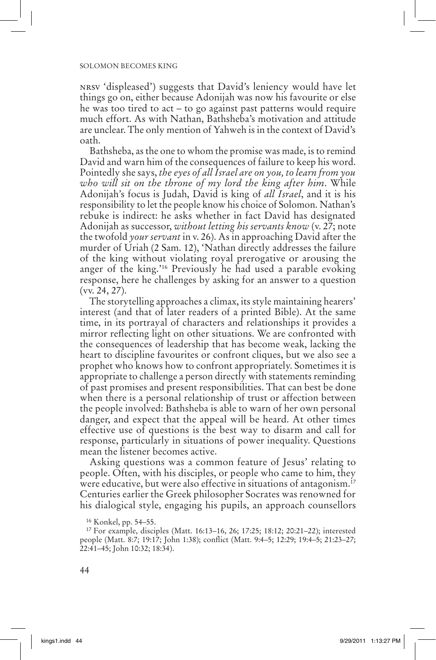nrsv 'displeased') suggests that David's leniency would have let things go on, either because Adonijah was now his favourite or else he was too tired to act – to go against past patterns would require much effort. As with Nathan, Bathsheba's motivation and attitude are unclear. The only mention of Yahweh is in the context of David's oath.

Bathsheba, as the one to whom the promise was made, is to remind David and warn him of the consequences of failure to keep his word. Pointedly she says, *the eyes of all Israel are on you, to learn from you who will sit on the throne of my lord the king after him*. While Adonijah's focus is Judah, David is king of *all Israel*, and it is his responsibility to let the people know his choice of Solomon. Nathan's rebuke is indirect: he asks whether in fact David has designated Adonijah as successor, *without letting his servants know* (v. 27; note the twofold *your servant* in v. 26). As in approaching David after the murder of Uriah (2 Sam. 12), 'Nathan directly addresses the failure of the king without violating royal prerogative or arousing the anger of the king.'16 Previously he had used a parable evoking response, here he challenges by asking for an answer to a question (vv. 24, 27).

The storytelling approaches a climax, its style maintaining hearers' interest (and that of later readers of a printed Bible). At the same time, in its portrayal of characters and relationships it provides a mirror reflecting light on other situations. We are confronted with the consequences of leadership that has become weak, lacking the heart to discipline favourites or confront cliques, but we also see a prophet who knows how to confront appropriately. Sometimes it is appropriate to challenge a person directly with statements reminding of past promises and present responsibilities. That can best be done when there is a personal relationship of trust or affection between the people involved: Bathsheba is able to warn of her own personal danger, and expect that the appeal will be heard. At other times effective use of questions is the best way to disarm and call for response, particularly in situations of power inequality. Questions mean the listener becomes active.

Asking questions was a common feature of Jesus' relating to people. Often, with his disciples, or people who came to him, they were educative, but were also effective in situations of antagonism.<sup>17</sup> Centuries earlier the Greek philosopher Socrates was renowned for his dialogical style, engaging his pupils, an approach counsellors

<sup>16</sup> Konkel, pp. 54–55.

<sup>17</sup> For example, disciples (Matt. 16:13–16, 26; 17:25; 18:12; 20:21–22); interested people (Matt. 8:7; 19:17; John 1:38); conflict (Matt. 9:4–5; 12:29; 19:4–5; 21:23–27; 22:41–45; John 10:32; 18:34).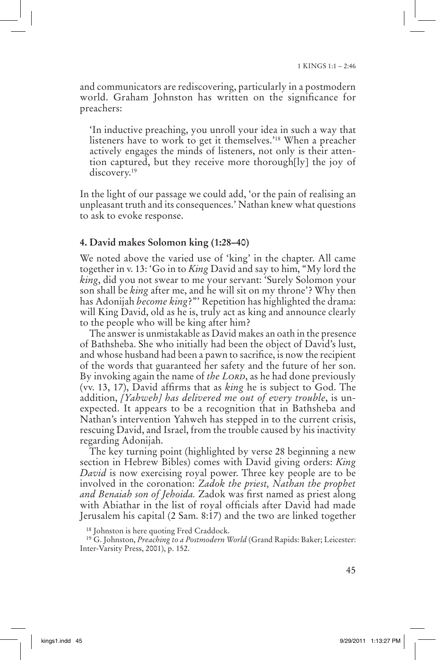and communicators are rediscovering, particularly in a postmodern world. Graham Johnston has written on the significance for preachers:

'In inductive preaching, you unroll your idea in such a way that listeners have to work to get it themselves.'18 When a preacher actively engages the minds of listeners, not only is their attention captured, but they receive more thorough[ly] the joy of discovery.<sup>19</sup>

In the light of our passage we could add, 'or the pain of realising an unpleasant truth and its consequences.' Nathan knew what questions to ask to evoke response.

# **4. David makes Solomon king (1:28–40)**

We noted above the varied use of 'king' in the chapter. All came together in v. 13: 'Go in to *King* David and say to him, "My lord the *king*, did you not swear to me your servant: 'Surely Solomon your son shall be *king* after me, and he will sit on my throne'? Why then has Adonijah *become king*?"' Repetition has highlighted the drama: will King David, old as he is, truly act as king and announce clearly to the people who will be king after him?

The answer is unmistakable as David makes an oath in the presence of Bathsheba. She who initially had been the object of David's lust, and whose husband had been a pawn to sacrifice, is now the recipient of the words that guaranteed her safety and the future of her son. By invoking again the name of *the Lord*, as he had done previously (vv. 13, 17), David affirms that as *king* he is subject to God. The addition, *[Yahweh] has delivered me out of every trouble*, is unexpected. It appears to be a recognition that in Bathsheba and Nathan's intervention Yahweh has stepped in to the current crisis, rescuing David, and Israel, from the trouble caused by his inactivity regarding Adonijah.

The key turning point (highlighted by verse 28 beginning a new section in Hebrew Bibles) comes with David giving orders: *King David* is now exercising royal power. Three key people are to be involved in the coronation: *Zadok the priest, Nathan the prophet and Benaiah son of Jehoida.* Zadok was first named as priest along with Abiathar in the list of royal officials after David had made Jerusalem his capital (2 Sam. 8:17) and the two are linked together

<sup>18</sup> Johnston is here quoting Fred Craddock.

<sup>19</sup> G. Johnston, *Preaching to a Postmodern World* (Grand Rapids: Baker; Leicester: Inter-Varsity Press, 2001), p. 152.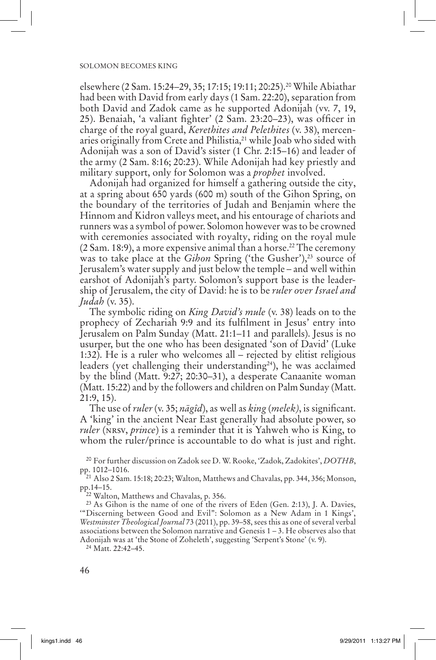elsewhere (2 Sam. 15:24–29, 35; 17:15; 19:11; 20:25).20 While Abiathar had been with David from early days (1 Sam. 22:20), separation from both David and Zadok came as he supported Adonijah (vv. 7, 19, 25). Benaiah, 'a valiant fighter' (2 Sam. 23:20–23), was officer in charge of the royal guard, *Kerethites and Pelethites* (v. 38), mercenaries originally from Crete and Philistia,<sup>21</sup> while Joab who sided with Adonijah was a son of David's sister (1 Chr. 2:15–16) and leader of the army (2 Sam. 8:16; 20:23). While Adonijah had key priestly and military support, only for Solomon was a *prophet* involved.

Adonijah had organized for himself a gathering outside the city, at a spring about 650 yards (600 m) south of the Gihon Spring, on the boundary of the territories of Judah and Benjamin where the Hinnom and Kidron valleys meet, and his entourage of chariots and runners was a symbol of power. Solomon however was to be crowned with ceremonies associated with royalty, riding on the royal mule  $(2 Sam. 18:9)$ , a more expensive animal than a horse.<sup>22</sup> The ceremony was to take place at the *Gihon* Spring ('the Gusher'),<sup>23</sup> source of Jerusalem's water supply and just below the temple – and well within earshot of Adonijah's party. Solomon's support base is the leadership of Jerusalem, the city of David: he is to be *ruler over Israel and Judah* (v. 35).

The symbolic riding on *King David's mule* (v. 38) leads on to the prophecy of Zechariah 9:9 and its fulfilment in Jesus' entry into Jerusalem on Palm Sunday (Matt. 21:1–11 and parallels). Jesus is no usurper, but the one who has been designated 'son of David' (Luke 1:32). He is a ruler who welcomes all – rejected by elitist religious leaders (yet challenging their understanding $24$ ), he was acclaimed by the blind (Matt. 9:27; 20:30–31), a desperate Canaanite woman (Matt. 15:22) and by the followers and children on Palm Sunday (Matt. 21:9, 15).

The use of *ruler* (v. 35; *nāgîd*), as well as *king* (*melek)*, is significant. A 'king' in the ancient Near East generally had absolute power, so *ruler* (nrsv, *prince*) is a reminder that it is Yahweh who is King, to whom the ruler/prince is accountable to do what is just and right.

<sup>20</sup> For further discussion on Zadok see D. W. Rooke, 'Zadok, Zadokites', *DOTHB*, pp. 1012–1016.

<sup>21</sup> Also 2 Sam. 15:18; 20:23; Walton, Matthews and Chavalas, pp. 344, 356; Monson, pp.14–15.

<sup>22</sup> Walton, Matthews and Chavalas, p. 356.

 $23$  As Gihon is the name of one of the rivers of Eden (Gen. 2:13), J. A. Davies, '"Discerning between Good and Evil": Solomon as a New Adam in 1 Kings', *Westminster Theological Journal* 73 (2011), pp. 39–58, sees this as one of several verbal associations between the Solomon narrative and Genesis 1 – 3. He observes also that Adonijah was at 'the Stone of Zoheleth', suggesting 'Serpent's Stone' (v. 9).

<sup>24</sup> Matt. 22:42–45.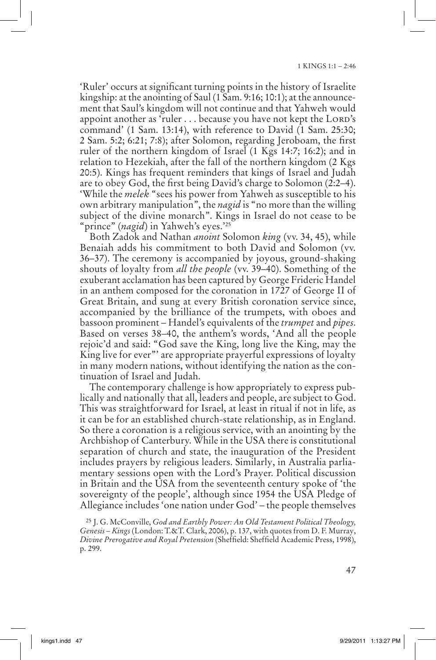#### 1 Kings 1:1 – 2:46

'Ruler' occurs at significant turning points in the history of Israelite kingship: at the anointing of Saul (1 Sam. 9:16; 10:1); at the announcement that Saul's kingdom will not continue and that Yahweh would appoint another as 'ruler  $\dots$  because you have not kept the LORD's command' (1 Sam. 13:14), with reference to David (1 Sam. 25:30; 2 Sam. 5:2; 6:21; 7:8); after Solomon, regarding Jeroboam, the first ruler of the northern kingdom of Israel (1 Kgs 14:7; 16:2); and in relation to Hezekiah, after the fall of the northern kingdom (2 Kgs 20:5). Kings has frequent reminders that kings of Israel and Judah are to obey God, the first being David's charge to Solomon (2:2–4). 'While the *melek* "sees his power from Yahweh as susceptible to his own arbitrary manipulation", the *nagid* is "no more than the willing subject of the divine monarch". Kings in Israel do not cease to be "prince" (*nagid*) in Yahweh's eyes.'25

Both Zadok and Nathan *anoint* Solomon *king* (vv. 34, 45), while Benaiah adds his commitment to both David and Solomon (vv. 36–37). The ceremony is accompanied by joyous, ground-shaking shouts of loyalty from *all the people* (vv. 39–40). Something of the exuberant acclamation has been captured by George Frideric Handel in an anthem composed for the coronation in 1727 of George II of Great Britain, and sung at every British coronation service since, accompanied by the brilliance of the trumpets, with oboes and bassoon prominent – Handel's equivalents of the *trumpet* and *pipes*. Based on verses 38–40, the anthem's words, 'And all the people rejoic'd and said: "God save the King, long live the King, may the King live for ever"' are appropriate prayerful expressions of loyalty in many modern nations, without identifying the nation as the continuation of Israel and Judah.

The contemporary challenge is how appropriately to express publically and nationally that all, leaders and people, are subject to God. This was straightforward for Israel, at least in ritual if not in life, as it can be for an established church-state relationship, as in England. So there a coronation is a religious service, with an anointing by the Archbishop of Canterbury. While in the USA there is constitutional separation of church and state, the inauguration of the President includes prayers by religious leaders. Similarly, in Australia parliamentary sessions open with the Lord's Prayer. Political discussion in Britain and the USA from the seventeenth century spoke of 'the sovereignty of the people', although since 1954 the USA Pledge of Allegiance includes 'one nation under God' – the people themselves

<sup>25</sup> J. G. McConville, *God and Earthly Power: An Old Testament Political Theology, Genesis – Kings* (London: T.&T. Clark, 2006), p. 137, with quotes from D. F. Murray, *Divine Prerogative and Royal Pretension* (Sheffield: Sheffield Academic Press, 1998), p. 299.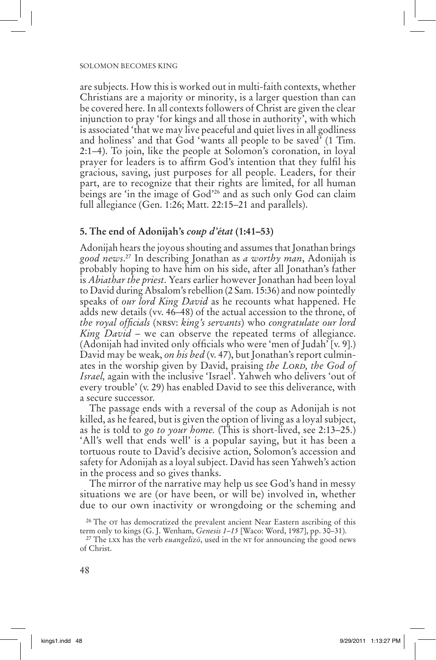are subjects. How this is worked out in multi-faith contexts, whether Christians are a majority or minority, is a larger question than can be covered here. In all contexts followers of Christ are given the clear injunction to pray 'for kings and all those in authority', with which is associated 'that we may live peaceful and quiet lives in all godliness and holiness' and that God 'wants all people to be saved' (1 Tim. 2:1–4). To join, like the people at Solomon's coronation, in loyal prayer for leaders is to affirm God's intention that they fulfil his gracious, saving, just purposes for all people. Leaders, for their part, are to recognize that their rights are limited, for all human beings are 'in the image of God'26 and as such only God can claim full allegiance (Gen. 1:26; Matt. 22:15–21 and parallels).

# **5. The end of Adonijah's coup d'état (1:41–53)**

Adonijah hears the joyous shouting and assumes that Jonathan brings *good news*. 27 In describing Jonathan as *a worthy man*, Adonijah is probably hoping to have him on his side, after all Jonathan's father is *Abiathar the priest*. Years earlier however Jonathan had been loyal to David during Absalom's rebellion (2 Sam. 15:36) and now pointedly speaks of *our lord King David* as he recounts what happened. He adds new details (vv. 46–48) of the actual accession to the throne, of *the royal officials* (nrsv: *king's servants*) who *congratulate our lord King David* – we can observe the repeated terms of allegiance. (Adonijah had invited only officials who were 'men of Judah' [v. 9].) David may be weak, *on his bed* (v. 47), but Jonathan's report culminates in the worship given by David, praising *the LORD*, *the God of Israel,* again with the inclusive 'Israel'. Yahweh who delivers 'out of every trouble' (v. 29) has enabled David to see this deliverance, with a secure successor.

The passage ends with a reversal of the coup as Adonijah is not killed, as he feared, but is given the option of living as a loyal subject, as he is told to *go to your home.* (This is short-lived, see 2:13–25.) 'All's well that ends well' is a popular saying, but it has been a tortuous route to David's decisive action, Solomon's accession and safety for Adonijah as a loyal subject. David has seen Yahweh's action in the process and so gives thanks.

The mirror of the narrative may help us see God's hand in messy situations we are (or have been, or will be) involved in, whether due to our own inactivity or wrongdoing or the scheming and

<sup>&</sup>lt;sup>26</sup> The OT has democratized the prevalent ancient Near Eastern ascribing of this term only to kings (G. J. Wenham, *Genesis 1–15* [Waco: Word, 1987], pp. 30–31).

<sup>&</sup>lt;sup>27</sup> The Lxx has the verb *euangelizo*, used in the  $NT$  for announcing the good news of Christ.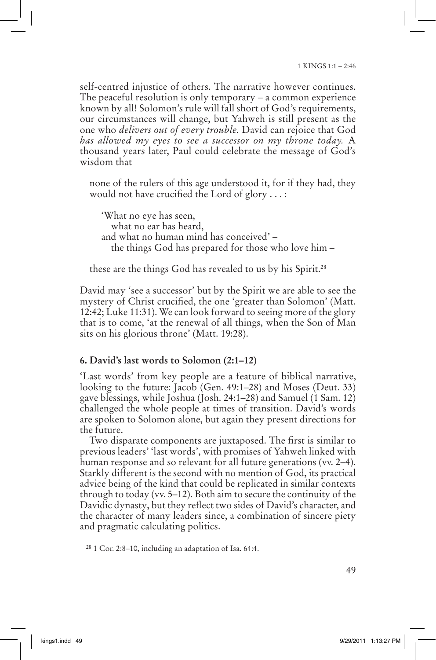1 Kings 1:1 – 2:46

self-centred injustice of others. The narrative however continues. The peaceful resolution is only temporary – a common experience known by all! Solomon's rule will fall short of God's requirements, our circumstances will change, but Yahweh is still present as the one who *delivers out of every trouble.* David can rejoice that God *has allowed my eyes to see a successor on my throne today.* A thousand years later, Paul could celebrate the message of God's wisdom that

none of the rulers of this age understood it, for if they had, they would not have crucified the Lord of glory . . . :

'What no eye has seen, what no ear has heard, and what no human mind has conceived' – the things God has prepared for those who love him –

these are the things God has revealed to us by his Spirit.<sup>28</sup>

David may 'see a successor' but by the Spirit we are able to see the mystery of Christ crucified, the one 'greater than Solomon' (Matt. 12:42; Luke 11:31). We can look forward to seeing more of the glory that is to come, 'at the renewal of all things, when the Son of Man sits on his glorious throne' (Matt. 19:28).

# **6. David's last words to Solomon (2:1–12)**

'Last words' from key people are a feature of biblical narrative, looking to the future: Jacob (Gen. 49:1–28) and Moses (Deut. 33) gave blessings, while Joshua (Josh. 24:1–28) and Samuel (1 Sam. 12) challenged the whole people at times of transition. David's words are spoken to Solomon alone, but again they present directions for the future.

Two disparate components are juxtaposed. The first is similar to previous leaders' 'last words', with promises of Yahweh linked with human response and so relevant for all future generations (vv. 2–4). Starkly different is the second with no mention of God, its practical advice being of the kind that could be replicated in similar contexts through to today (vv. 5–12). Both aim to secure the continuity of the Davidic dynasty, but they reflect two sides of David's character, and the character of many leaders since, a combination of sincere piety and pragmatic calculating politics.

<sup>28</sup> 1 Cor. 2:8–10, including an adaptation of Isa. 64:4.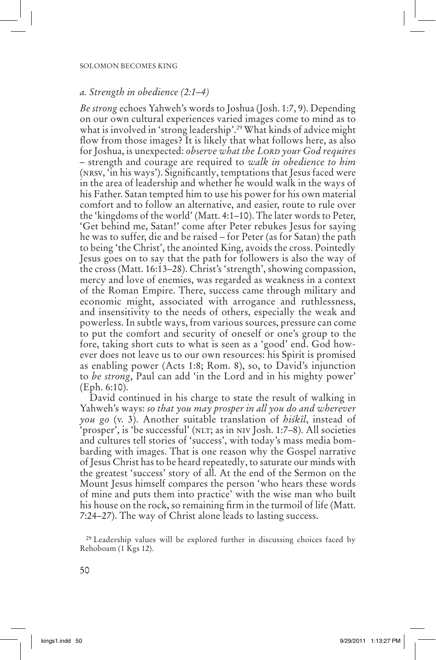## *a. Strength in obedience (2:1–4)*

*Be strong* echoes Yahweh's words to Joshua (Josh. 1:7, 9). Depending on our own cultural experiences varied images come to mind as to what is involved in 'strong leadership'.<sup>29</sup> What kinds of advice might flow from those images? It is likely that what follows here, as also for Joshua, is unexpected: *observe what the Lord your God requires –* strength and courage are required to *walk in obedience to him*  (nrsv, 'in his ways'). Significantly, temptations that Jesus faced were in the area of leadership and whether he would walk in the ways of his Father. Satan tempted him to use his power for his own material comfort and to follow an alternative, and easier, route to rule over the 'kingdoms of the world' (Matt. 4:1–10). The later words to Peter, 'Get behind me, Satan!' come after Peter rebukes Jesus for saying he was to suffer, die and be raised – for Peter (as for Satan) the path to being 'the Christ', the anointed King, avoids the cross. Pointedly Jesus goes on to say that the path for followers is also the way of the cross (Matt. 16:13–28). Christ's 'strength', showing compassion, mercy and love of enemies, was regarded as weakness in a context of the Roman Empire. There, success came through military and economic might, associated with arrogance and ruthlessness, and insensitivity to the needs of others, especially the weak and powerless. In subtle ways, from various sources, pressure can come to put the comfort and security of oneself or one's group to the fore, taking short cuts to what is seen as a 'good' end. God however does not leave us to our own resources: his Spirit is promised as enabling power (Acts 1:8; Rom. 8), so, to David's injunction to *be strong*, Paul can add 'in the Lord and in his mighty power' (Eph. 6:10).

David continued in his charge to state the result of walking in Yahweh's ways: *so that you may prosper in all you do and wherever you go* (v. 3). Another suitable translation of *hiśkîl*, instead of 'prosper', is 'be successful' (nlt; as in niv Josh. 1:7–8). All societies and cultures tell stories of 'success', with today's mass media bombarding with images. That is one reason why the Gospel narrative of Jesus Christ has to be heard repeatedly, to saturate our minds with the greatest 'success' story of all. At the end of the Sermon on the Mount Jesus himself compares the person 'who hears these words of mine and puts them into practice' with the wise man who built his house on the rock, so remaining firm in the turmoil of life (Matt. 7:24–27). The way of Christ alone leads to lasting success.

<sup>29</sup> Leadership values will be explored further in discussing choices faced by Rehoboam (1 Kgs 12).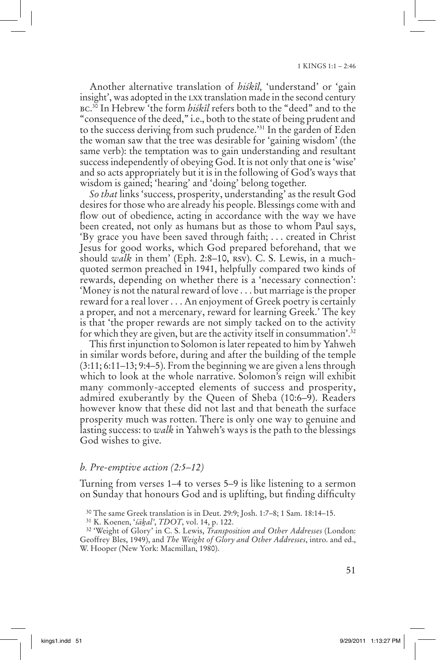Another alternative translation of *hiśkîl,* 'understand' or 'gain insight', was adopted in the lxx translation made in the second century bc. 30 In Hebrew 'the form *hiśkîl* refers both to the "deed" and to the "consequence of the deed," i.e., both to the state of being prudent and to the success deriving from such prudence.'31 In the garden of Eden the woman saw that the tree was desirable for 'gaining wisdom' (the same verb): the temptation was to gain understanding and resultant success independently of obeying God. It is not only that one is 'wise' and so acts appropriately but it is in the following of God's ways that wisdom is gained; 'hearing' and 'doing' belong together.

*So that* links 'success, prosperity, understanding' as the result God desires for those who are already his people. Blessings come with and flow out of obedience, acting in accordance with the way we have been created, not only as humans but as those to whom Paul says, 'By grace you have been saved through faith; . . . created in Christ Jesus for good works, which God prepared beforehand, that we should *walk* in them' (Eph. 2:8–10, RSV). C. S. Lewis, in a muchquoted sermon preached in 1941, helpfully compared two kinds of rewards, depending on whether there is a 'necessary connection': 'Money is not the natural reward of love . . . but marriage is the proper reward for a real lover . . . An enjoyment of Greek poetry is certainly a proper, and not a mercenary, reward for learning Greek.' The key is that 'the proper rewards are not simply tacked on to the activity for which they are given, but are the activity itself in consummation'.<sup>32</sup>

This first injunction to Solomon is later repeated to him by Yahweh in similar words before, during and after the building of the temple (3:11; 6:11–13; 9:4–5). From the beginning we are given a lens through which to look at the whole narrative. Solomon's reign will exhibit many commonly-accepted elements of success and prosperity, admired exuberantly by the Queen of Sheba (10:6–9). Readers however know that these did not last and that beneath the surface prosperity much was rotten. There is only one way to genuine and lasting success: to *walk* in Yahweh's ways is the path to the blessings God wishes to give.

# *b. Pre-emptive action (2:5–12)*

Turning from verses 1–4 to verses 5–9 is like listening to a sermon on Sunday that honours God and is uplifting, but finding difficulty

<sup>30</sup> The same Greek translation is in Deut. 29:9; Josh. 1:7–8; 1 Sam. 18:14–15.

<sup>31</sup> K. Koenen, '*śāḵal'*, *TDOT*, vol. 14, p. 122.

<sup>32</sup> 'Weight of Glory' in C. S. Lewis, *Transposition and Other Addresses* (London: Geoffrey Bles, 1949), and *The Weight of Glory and Other Addresses*, intro. and ed., W. Hooper (New York: Macmillan, 1980).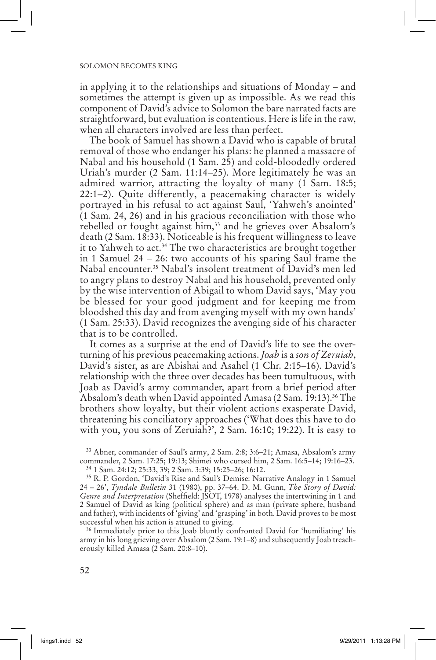in applying it to the relationships and situations of Monday – and sometimes the attempt is given up as impossible. As we read this component of David's advice to Solomon the bare narrated facts are straightforward, but evaluation is contentious. Here is life in the raw, when all characters involved are less than perfect.

The book of Samuel has shown a David who is capable of brutal removal of those who endanger his plans: he planned a massacre of Nabal and his household (1 Sam. 25) and cold-bloodedly ordered Uriah's murder (2 Sam. 11:14–25). More legitimately he was an admired warrior, attracting the loyalty of many (1 Sam. 18:5; 22:1–2). Quite differently, a peacemaking character is widely portrayed in his refusal to act against Saul, 'Yahweh's anointed' (1 Sam. 24, 26) and in his gracious reconciliation with those who rebelled or fought against him,<sup>33</sup> and he grieves over Absalom's death (2 Sam. 18:33). Noticeable is his frequent willingness to leave it to Yahweh to act.<sup>34</sup> The two characteristics are brought together in 1 Samuel 24 – 26: two accounts of his sparing Saul frame the Nabal encounter.35 Nabal's insolent treatment of David's men led to angry plans to destroy Nabal and his household, prevented only by the wise intervention of Abigail to whom David says, 'May you be blessed for your good judgment and for keeping me from bloodshed this day and from avenging myself with my own hands' (1 Sam. 25:33). David recognizes the avenging side of his character that is to be controlled.

It comes as a surprise at the end of David's life to see the overturning of his previous peacemaking actions. *Joab* is a *son of Zeruiah*, David's sister, as are Abishai and Asahel (1 Chr. 2:15–16). David's relationship with the three over decades has been tumultuous, with Joab as David's army commander, apart from a brief period after Absalom's death when David appointed Amasa (2 Sam. 19:13).<sup>36</sup> The brothers show loyalty, but their violent actions exasperate David, threatening his conciliatory approaches ('What does this have to do with you, you sons of Zeruiah?', 2 Sam. 16:10; 19:22). It is easy to

<sup>33</sup> Abner, commander of Saul's army, 2 Sam. 2:8; 3:6–21; Amasa, Absalom's army commander, 2 Sam. 17:25; 19:13; Shimei who cursed him, 2 Sam. 16:5–14; 19:16–23.

<sup>35</sup> R. P. Gordon, 'David's Rise and Saul's Demise: Narrative Analogy in 1 Samuel 24 – 26', *Tyndale Bulletin* 31 (1980), pp. 37–64. D. M. Gunn, *The Story of David: Genre and Interpretation* (Sheffield: JSOT, 1978) analyses the intertwining in 1 and 2 Samuel of David as king (political sphere) and as man (private sphere, husband and father), with incidents of 'giving' and 'grasping' in both. David proves to be most successful when his action is attuned to giving.

<sup>36</sup> Immediately prior to this Joab bluntly confronted David for 'humiliating' his army in his long grieving over Absalom (2 Sam. 19:1–8) and subsequently Joab treacherously killed Amasa (2 Sam. 20:8–10).

<sup>34</sup> 1 Sam. 24:12; 25:33, 39; 2 Sam. 3:39; 15:25–26; 16:12.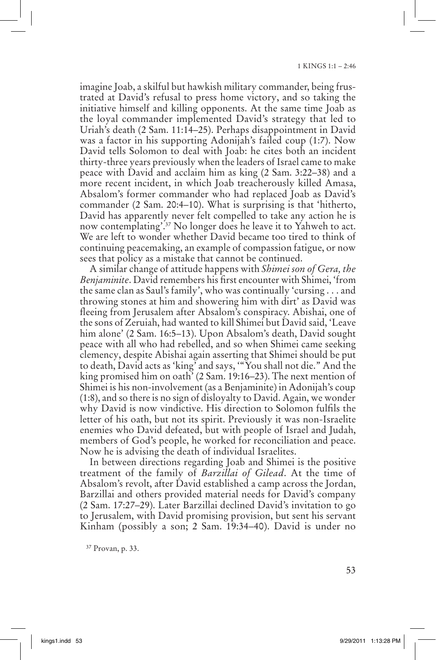imagine Joab, a skilful but hawkish military commander, being frustrated at David's refusal to press home victory, and so taking the initiative himself and killing opponents. At the same time Joab as the loyal commander implemented David's strategy that led to Uriah's death (2 Sam. 11:14–25). Perhaps disappointment in David was a factor in his supporting Adonijah's failed coup (1:7). Now David tells Solomon to deal with Joab: he cites both an incident thirty-three years previously when the leaders of Israel came to make peace with David and acclaim him as king (2 Sam. 3:22–38) and a more recent incident, in which Joab treacherously killed Amasa, Absalom's former commander who had replaced Joab as David's commander (2 Sam. 20:4–10). What is surprising is that 'hitherto, David has apparently never felt compelled to take any action he is now contemplating'.37 No longer does he leave it to Yahweh to act. We are left to wonder whether David became too tired to think of continuing peacemaking, an example of compassion fatigue, or now sees that policy as a mistake that cannot be continued.

A similar change of attitude happens with *Shimei son of Gera, the Benjaminite*. David remembers his first encounter with Shimei, 'from the same clan as Saul's family', who was continually 'cursing . . . and throwing stones at him and showering him with dirt' as David was fleeing from Jerusalem after Absalom's conspiracy. Abishai, one of the sons of Zeruiah, had wanted to kill Shimei but David said, 'Leave him alone' (2 Sam. 16:5–13). Upon Absalom's death, David sought peace with all who had rebelled, and so when Shimei came seeking clemency, despite Abishai again asserting that Shimei should be put to death, David acts as 'king' and says, '"You shall not die." And the king promised him on oath' (2 Sam. 19:16–23). The next mention of Shimei is his non-involvement (as a Benjaminite) in Adonijah's coup (1:8), and so there is no sign of disloyalty to David. Again, we wonder why David is now vindictive. His direction to Solomon fulfils the letter of his oath, but not its spirit. Previously it was non-Israelite enemies who David defeated, but with people of Israel and Judah, members of God's people, he worked for reconciliation and peace. Now he is advising the death of individual Israelites.

In between directions regarding Joab and Shimei is the positive treatment of the family of *Barzillai of Gilead*. At the time of Absalom's revolt, after David established a camp across the Jordan, Barzillai and others provided material needs for David's company (2 Sam. 17:27–29). Later Barzillai declined David's invitation to go to Jerusalem, with David promising provision, but sent his servant Kinham (possibly a son; 2 Sam. 19:34–40). David is under no

53

<sup>37</sup> Provan, p. 33.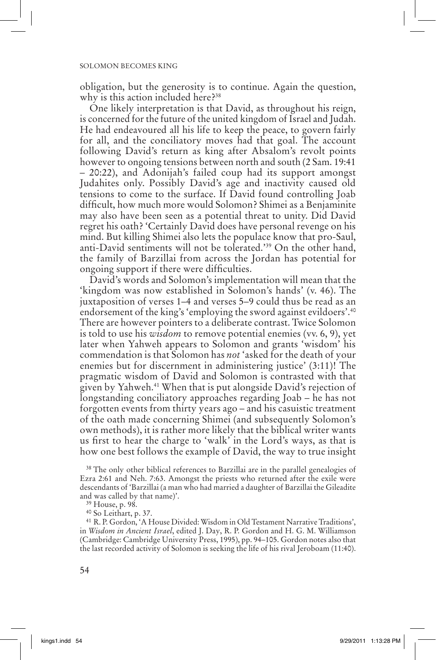obligation, but the generosity is to continue. Again the question, why is this action included here?<sup>38</sup>

One likely interpretation is that David, as throughout his reign, is concerned for the future of the united kingdom of Israel and Judah. He had endeavoured all his life to keep the peace, to govern fairly for all, and the conciliatory moves had that goal. The account following David's return as king after Absalom's revolt points however to ongoing tensions between north and south (2 Sam. 19:41 – 20:22), and Adonijah's failed coup had its support amongst Judahites only. Possibly David's age and inactivity caused old tensions to come to the surface. If David found controlling Joab difficult, how much more would Solomon? Shimei as a Benjaminite may also have been seen as a potential threat to unity. Did David regret his oath? 'Certainly David does have personal revenge on his mind. But killing Shimei also lets the populace know that pro-Saul, anti-David sentiments will not be tolerated.'39 On the other hand, the family of Barzillai from across the Jordan has potential for ongoing support if there were difficulties.

David's words and Solomon's implementation will mean that the 'kingdom was now established in Solomon's hands' (v. 46). The juxtaposition of verses 1–4 and verses 5–9 could thus be read as an endorsement of the king's 'employing the sword against evildoers'.40 There are however pointers to a deliberate contrast. Twice Solomon is told to use his *wisdom* to remove potential enemies (vv. 6, 9), yet later when Yahweh appears to Solomon and grants 'wisdom' his commendation is that Solomon has *not* 'asked for the death of your enemies but for discernment in administering justice' (3:11)! The pragmatic wisdom of David and Solomon is contrasted with that given by Yahweh.41 When that is put alongside David's rejection of longstanding conciliatory approaches regarding Joab – he has not forgotten events from thirty years ago – and his casuistic treatment of the oath made concerning Shimei (and subsequently Solomon's own methods), it is rather more likely that the biblical writer wants us first to hear the charge to 'walk' in the Lord's ways, as that is how one best follows the example of David, the way to true insight

<sup>38</sup> The only other biblical references to Barzillai are in the parallel genealogies of Ezra 2:61 and Neh. 7:63. Amongst the priests who returned after the exile were descendants of 'Barzillai (a man who had married a daughter of Barzillai the Gileadite and was called by that name)'.

<sup>40</sup> So Leithart, p. 37.

<sup>41</sup> R. P. Gordon, 'A House Divided: Wisdom in Old Testament Narrative Traditions', in *Wisdom in Ancient Israel*, edited J. Day, R. P. Gordon and H. G. M. Williamson (Cambridge: Cambridge University Press, 1995), pp. 94–105. Gordon notes also that the last recorded activity of Solomon is seeking the life of his rival Jeroboam (11:40).

<sup>39</sup> House, p. 98.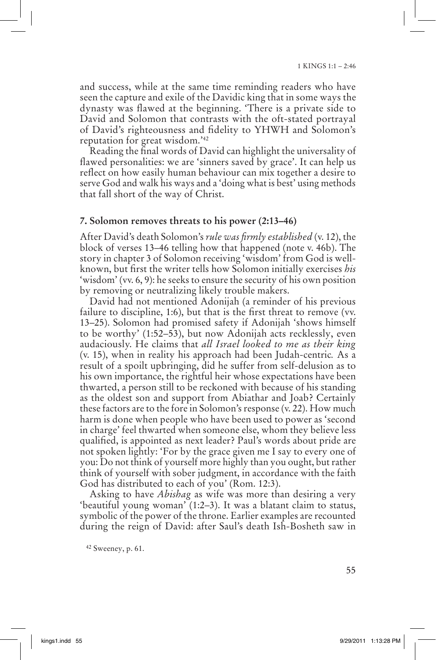and success, while at the same time reminding readers who have seen the capture and exile of the Davidic king that in some ways the dynasty was flawed at the beginning. 'There is a private side to David and Solomon that contrasts with the oft-stated portrayal of David's righteousness and fidelity to YHWH and Solomon's reputation for great wisdom.'42

Reading the final words of David can highlight the universality of flawed personalities: we are 'sinners saved by grace'. It can help us reflect on how easily human behaviour can mix together a desire to serve God and walk his ways and a 'doing what is best' using methods that fall short of the way of Christ.

# **7. Solomon removes threats to his power (2:13–46)**

After David's death Solomon's *rule was firmly established* (v. 12), the block of verses 13–46 telling how that happened (note v. 46b). The story in chapter 3 of Solomon receiving 'wisdom' from God is wellknown, but first the writer tells how Solomon initially exercises *his* 'wisdom' (vv. 6, 9): he seeks to ensure the security of his own position by removing or neutralizing likely trouble makers.

David had not mentioned Adonijah (a reminder of his previous failure to discipline, 1:6), but that is the first threat to remove (vv. 13–25). Solomon had promised safety if Adonijah 'shows himself to be worthy' (1:52–53), but now Adonijah acts recklessly, even audaciously. He claims that *all Israel looked to me as their king* (v. 15), when in reality his approach had been Judah-centric*.* As a result of a spoilt upbringing, did he suffer from self-delusion as to his own importance, the rightful heir whose expectations have been thwarted, a person still to be reckoned with because of his standing as the oldest son and support from Abiathar and Joab? Certainly these factors are to the fore in Solomon's response (v. 22). How much harm is done when people who have been used to power as 'second in charge' feel thwarted when someone else, whom they believe less qualified, is appointed as next leader? Paul's words about pride are not spoken lightly: 'For by the grace given me I say to every one of you: Do not think of yourself more highly than you ought, but rather think of yourself with sober judgment, in accordance with the faith God has distributed to each of you' (Rom. 12:3).

Asking to have *Abishag* as wife was more than desiring a very 'beautiful young woman' (1:2–3). It was a blatant claim to status, symbolic of the power of the throne. Earlier examples are recounted during the reign of David: after Saul's death Ish-Bosheth saw in

<sup>42</sup> Sweeney, p. 61.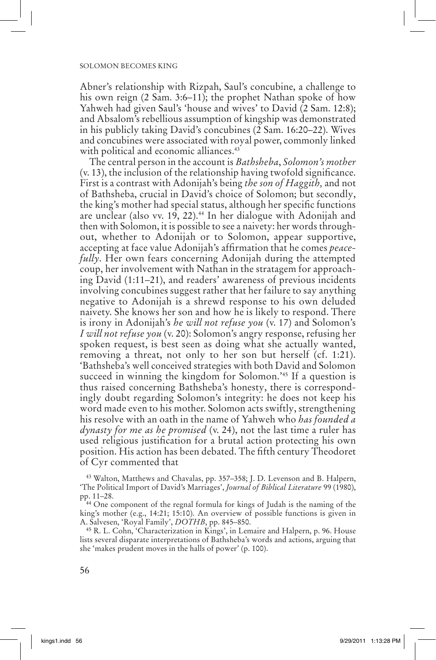Abner's relationship with Rizpah, Saul's concubine, a challenge to his own reign (2 Sam. 3:6–11); the prophet Nathan spoke of how Yahweh had given Saul's 'house and wives' to David (2 Sam. 12:8); and Absalom's rebellious assumption of kingship was demonstrated in his publicly taking David's concubines (2 Sam. 16:20–22). Wives and concubines were associated with royal power, commonly linked with political and economic alliances.<sup>43</sup>

The central person in the account is *Bathsheba*, *Solomon's mother*  (v. 13), the inclusion of the relationship having twofold significance. First is a contrast with Adonijah's being *the son of Haggith,* and not of Bathsheba, crucial in David's choice of Solomon; but secondly, the king's mother had special status, although her specific functions are unclear (also vv. 19, 22).44 In her dialogue with Adonijah and then with Solomon, it is possible to see a naivety: her words throughout, whether to Adonijah or to Solomon, appear supportive, accepting at face value Adonijah's affirmation that he comes *peacefully*. Her own fears concerning Adonijah during the attempted coup, her involvement with Nathan in the stratagem for approaching David (1:11–21), and readers' awareness of previous incidents involving concubines suggest rather that her failure to say anything negative to Adonijah is a shrewd response to his own deluded naivety. She knows her son and how he is likely to respond. There is irony in Adonijah's *he will not refuse you* (v. 17) and Solomon's *I will not refuse you* (v. 20): Solomon's angry response, refusing her spoken request, is best seen as doing what she actually wanted, removing a threat, not only to her son but herself (cf. 1:21). 'Bathsheba's well conceived strategies with both David and Solomon succeed in winning the kingdom for Solomon.<sup>45</sup> If a question is thus raised concerning Bathsheba's honesty, there is correspondingly doubt regarding Solomon's integrity: he does not keep his word made even to his mother. Solomon acts swiftly, strengthening his resolve with an oath in the name of Yahweh who *has founded a dynasty for me as he promised* (v. 24), not the last time a ruler has used religious justification for a brutal action protecting his own position. His action has been debated. The fifth century Theodoret of Cyr commented that

<sup>43</sup> Walton, Matthews and Chavalas, pp. 357–358; J. D. Levenson and B. Halpern, 'The Political Import of David's Marriages', *Journal of Biblical Literature* 99 (1980), pp. 11–28.

<sup>45</sup> R. L. Cohn, 'Characterization in Kings', in Lemaire and Halpern, p. 96. House lists several disparate interpretations of Bathsheba's words and actions, arguing that she 'makes prudent moves in the halls of power' (p. 100).

<sup>&</sup>lt;sup>44</sup> One component of the regnal formula for kings of Judah is the naming of the king's mother (e.g., 14:21; 15:10). An overview of possible functions is given in A. Salvesen, 'Royal Family', *DOTHB*, pp. 845–850.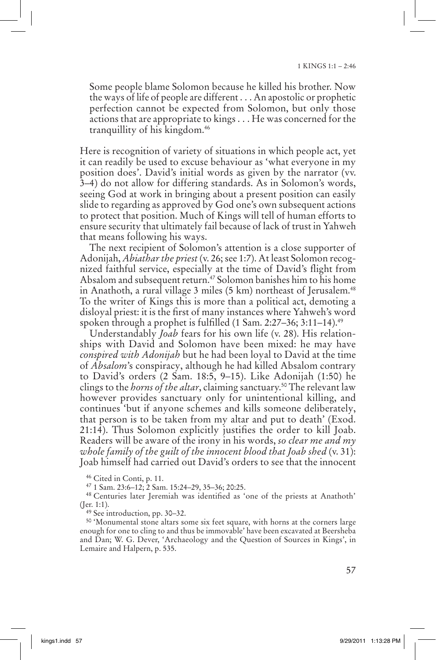Some people blame Solomon because he killed his brother. Now the ways of life of people are different . . . An apostolic or prophetic perfection cannot be expected from Solomon, but only those actions that are appropriate to kings . . . He was concerned for the tranquillity of his kingdom.<sup>46</sup>

Here is recognition of variety of situations in which people act, yet it can readily be used to excuse behaviour as 'what everyone in my position does'. David's initial words as given by the narrator (vv. 3–4) do not allow for differing standards. As in Solomon's words, seeing God at work in bringing about a present position can easily slide to regarding as approved by God one's own subsequent actions to protect that position. Much of Kings will tell of human efforts to ensure security that ultimately fail because of lack of trust in Yahweh that means following his ways.

The next recipient of Solomon's attention is a close supporter of Adonijah, *Abiathar the priest* (v. 26; see 1:7). At least Solomon recognized faithful service, especially at the time of David's flight from Absalom and subsequent return.<sup>47</sup> Solomon banishes him to his home in Anathoth, a rural village 3 miles (5 km) northeast of Jerusalem.<sup>48</sup> To the writer of Kings this is more than a political act, demoting a disloyal priest: it is the first of many instances where Yahweh's word spoken through a prophet is fulfilled  $(1 \text{ Sam. } 2:27-36; 3:11-14).$ <sup>49</sup>

Understandably *Joab* fears for his own life (v. 28). His relationships with David and Solomon have been mixed: he may have *conspired with Adonijah* but he had been loyal to David at the time of *Absalom*'s conspiracy, although he had killed Absalom contrary to David's orders (2 Sam. 18:5, 9–15). Like Adonijah (1:50) he clings to the *horns of the altar*, claiming sanctuary.50 The relevant law however provides sanctuary only for unintentional killing, and continues 'but if anyone schemes and kills someone deliberately, that person is to be taken from my altar and put to death' (Exod. 21:14). Thus Solomon explicitly justifies the order to kill Joab. Readers will be aware of the irony in his words, *so clear me and my whole family of the guilt of the innocent blood that Joab shed* (v. 31): Joab himself had carried out David's orders to see that the innocent

<sup>46</sup> Cited in Conti, p. 11.

<sup>47</sup> 1 Sam. 23:6–12; 2 Sam. 15:24–29, 35–36; 20:25.

<sup>48</sup> Centuries later Jeremiah was identified as 'one of the priests at Anathoth' (Jer. 1:1).

<sup>49</sup> See introduction, pp. 30–32.

<sup>50</sup> 'Monumental stone altars some six feet square, with horns at the corners large enough for one to cling to and thus be immovable' have been excavated at Beersheba and Dan; W. G. Dever, 'Archaeology and the Question of Sources in Kings', in Lemaire and Halpern, p. 535.